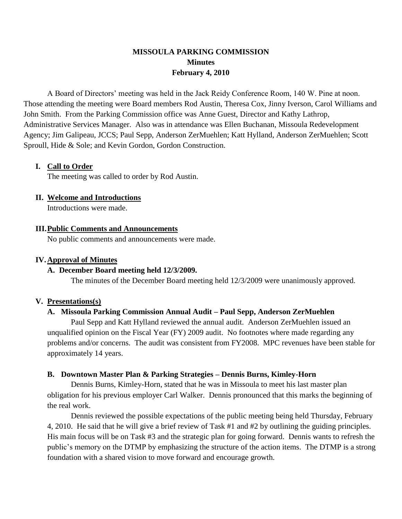## **MISSOULA PARKING COMMISSION Minutes February 4, 2010**

A Board of Directors' meeting was held in the Jack Reidy Conference Room, 140 W. Pine at noon. Those attending the meeting were Board members Rod Austin, Theresa Cox, Jinny Iverson, Carol Williams and John Smith. From the Parking Commission office was Anne Guest, Director and Kathy Lathrop, Administrative Services Manager. Also was in attendance was Ellen Buchanan, Missoula Redevelopment Agency; Jim Galipeau, JCCS; Paul Sepp, Anderson ZerMuehlen; Katt Hylland, Anderson ZerMuehlen; Scott Sproull, Hide & Sole; and Kevin Gordon, Gordon Construction.

## **I. Call to Order**

The meeting was called to order by Rod Austin.

## **II. Welcome and Introductions**

Introductions were made.

## **III.Public Comments and Announcements**

No public comments and announcements were made.

## **IV.Approval of Minutes**

### **A. December Board meeting held 12/3/2009.**

The minutes of the December Board meeting held 12/3/2009 were unanimously approved.

### **V. Presentations(s)**

## **A. Missoula Parking Commission Annual Audit – Paul Sepp, Anderson ZerMuehlen**

Paul Sepp and Katt Hylland reviewed the annual audit. Anderson ZerMuehlen issued an unqualified opinion on the Fiscal Year (FY) 2009 audit. No footnotes where made regarding any problems and/or concerns. The audit was consistent from FY2008. MPC revenues have been stable for approximately 14 years.

## **B. Downtown Master Plan & Parking Strategies – Dennis Burns, Kimley-Horn**

Dennis Burns, Kimley-Horn, stated that he was in Missoula to meet his last master plan obligation for his previous employer Carl Walker. Dennis pronounced that this marks the beginning of the real work.

Dennis reviewed the possible expectations of the public meeting being held Thursday, February 4, 2010. He said that he will give a brief review of Task #1 and #2 by outlining the guiding principles. His main focus will be on Task #3 and the strategic plan for going forward. Dennis wants to refresh the public's memory on the DTMP by emphasizing the structure of the action items. The DTMP is a strong foundation with a shared vision to move forward and encourage growth.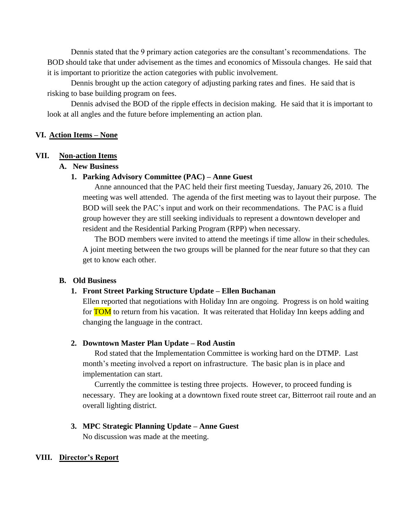Dennis stated that the 9 primary action categories are the consultant's recommendations. The BOD should take that under advisement as the times and economics of Missoula changes. He said that it is important to prioritize the action categories with public involvement.

Dennis brought up the action category of adjusting parking rates and fines. He said that is risking to base building program on fees.

Dennis advised the BOD of the ripple effects in decision making. He said that it is important to look at all angles and the future before implementing an action plan.

### **VI. Action Items – None**

#### **VII. Non-action Items**

#### **A. New Business**

#### **1. Parking Advisory Committee (PAC) – Anne Guest**

Anne announced that the PAC held their first meeting Tuesday, January 26, 2010. The meeting was well attended. The agenda of the first meeting was to layout their purpose. The BOD will seek the PAC's input and work on their recommendations. The PAC is a fluid group however they are still seeking individuals to represent a downtown developer and resident and the Residential Parking Program (RPP) when necessary.

The BOD members were invited to attend the meetings if time allow in their schedules. A joint meeting between the two groups will be planned for the near future so that they can get to know each other.

#### **B. Old Business**

#### **1. Front Street Parking Structure Update – Ellen Buchanan**

Ellen reported that negotiations with Holiday Inn are ongoing. Progress is on hold waiting for **TOM** to return from his vacation. It was reiterated that Holiday Inn keeps adding and changing the language in the contract.

#### **2. Downtown Master Plan Update – Rod Austin**

Rod stated that the Implementation Committee is working hard on the DTMP. Last month's meeting involved a report on infrastructure. The basic plan is in place and implementation can start.

Currently the committee is testing three projects. However, to proceed funding is necessary. They are looking at a downtown fixed route street car, Bitterroot rail route and an overall lighting district.

## **3. MPC Strategic Planning Update – Anne Guest**

No discussion was made at the meeting.

#### **VIII. Director's Report**